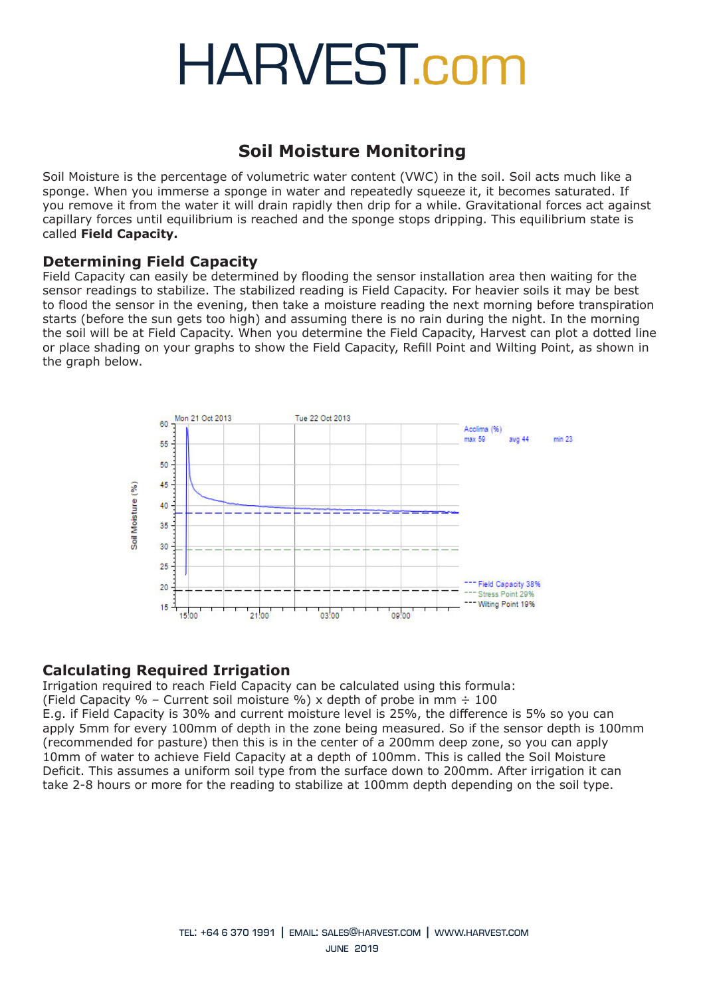### **Soil Moisture Monitoring**

Soil Moisture is the percentage of volumetric water content (VWC) in the soil. Soil acts much like a sponge. When you immerse a sponge in water and repeatedly squeeze it, it becomes saturated. If you remove it from the water it will drain rapidly then drip for a while. Gravitational forces act against capillary forces until equilibrium is reached and the sponge stops dripping. This equilibrium state is called **Field Capacity.**

#### **Determining Field Capacity**

Field Capacity can easily be determined by flooding the sensor installation area then waiting for the sensor readings to stabilize. The stabilized reading is Field Capacity. For heavier soils it may be best to flood the sensor in the evening, then take a moisture reading the next morning before transpiration starts (before the sun gets too high) and assuming there is no rain during the night. In the morning the soil will be at Field Capacity. When you determine the Field Capacity, Harvest can plot a dotted line or place shading on your graphs to show the Field Capacity, Refill Point and Wilting Point, as shown in the graph below.



#### **Calculating Required Irrigation**

Irrigation required to reach Field Capacity can be calculated using this formula: (Field Capacity % – Current soil moisture %) x depth of probe in mm  $\div$  100 E.g. if Field Capacity is 30% and current moisture level is 25%, the difference is 5% so you can apply 5mm for every 100mm of depth in the zone being measured. So if the sensor depth is 100mm (recommended for pasture) then this is in the center of a 200mm deep zone, so you can apply 10mm of water to achieve Field Capacity at a depth of 100mm. This is called the Soil Moisture Deficit. This assumes a uniform soil type from the surface down to 200mm. After irrigation it can take 2-8 hours or more for the reading to stabilize at 100mm depth depending on the soil type.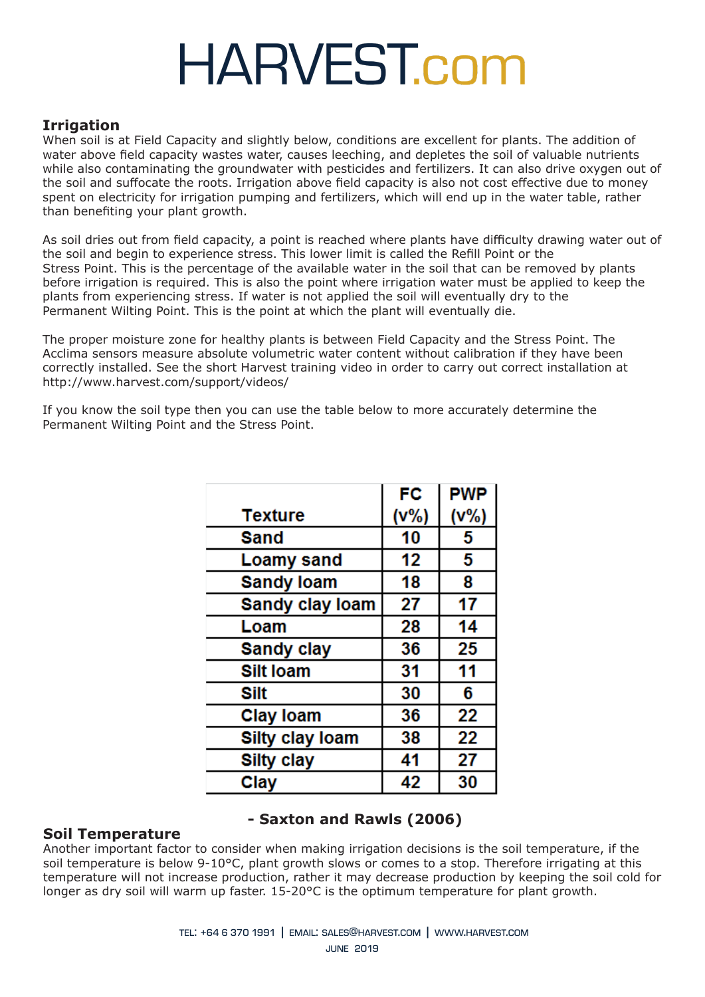#### **Irrigation**

When soil is at Field Capacity and slightly below, conditions are excellent for plants. The addition of water above field capacity wastes water, causes leeching, and depletes the soil of valuable nutrients while also contaminating the groundwater with pesticides and fertilizers. It can also drive oxygen out of the soil and suffocate the roots. Irrigation above field capacity is also not cost effective due to money spent on electricity for irrigation pumping and fertilizers, which will end up in the water table, rather than benefiting your plant growth.

As soil dries out from field capacity, a point is reached where plants have difficulty drawing water out of the soil and begin to experience stress. This lower limit is called the Refill Point or the Stress Point. This is the percentage of the available water in the soil that can be removed by plants before irrigation is required. This is also the point where irrigation water must be applied to keep the plants from experiencing stress. If water is not applied the soil will eventually dry to the Permanent Wilting Point. This is the point at which the plant will eventually die.

The proper moisture zone for healthy plants is between Field Capacity and the Stress Point. The Acclima sensors measure absolute volumetric water content without calibration if they have been correctly installed. See the short Harvest training video in order to carry out correct installation at http://www.harvest.com/support/videos/

If you know the soil type then you can use the table below to more accurately determine the Permanent Wilting Point and the Stress Point.

|                        | FC   | <b>PWP</b> |
|------------------------|------|------------|
| <b>Texture</b>         | (v%) | (V% )      |
| Sand                   | 10   | 5          |
| <b>Loamy sand</b>      | 12   | 5          |
| <b>Sandy loam</b>      | 18   | 8          |
| <b>Sandy clay loam</b> | 27   | 17         |
| Loam                   | 28   | 14         |
| <b>Sandy clay</b>      | 36   | 25         |
| <b>Silt loam</b>       | 31   | 11         |
| Silt                   | 30   | 6          |
| <b>Clay loam</b>       | 36   | 22         |
| <b>Silty clay loam</b> | 38   | 22         |
| <b>Silty clay</b>      | 41   | 27         |
| Clay                   | 42   | 30         |

#### **- Saxton and Rawls (2006)**

#### **Soil Temperature** Another important factor to consider when making irrigation decisions is the soil temperature, if the soil temperature is below 9-10°C, plant growth slows or comes to a stop. Therefore irrigating at this temperature will not increase production, rather it may decrease production by keeping the soil cold for longer as dry soil will warm up faster. 15-20°C is the optimum temperature for plant growth.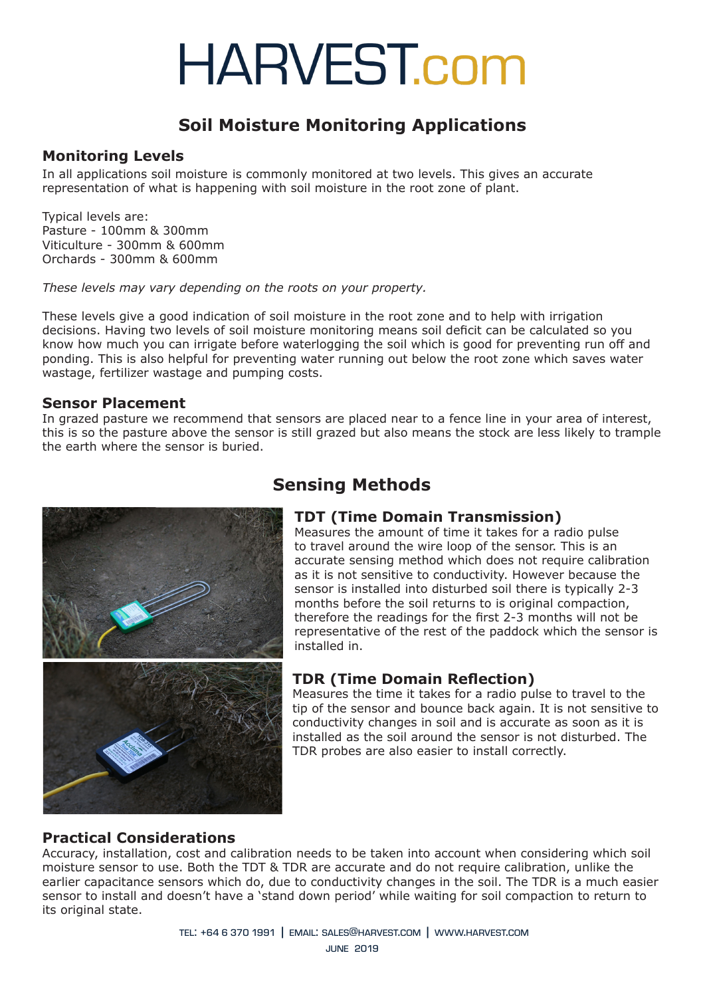### **Soil Moisture Monitoring Applications**

#### **Monitoring Levels**

In all applications soil moisture is commonly monitored at two levels. This gives an accurate representation of what is happening with soil moisture in the root zone of plant.

Typical levels are: Pasture - 100mm & 300mm Viticulture - 300mm & 600mm Orchards - 300mm & 600mm

*These levels may vary depending on the roots on your property.*

These levels give a good indication of soil moisture in the root zone and to help with irrigation decisions. Having two levels of soil moisture monitoring means soil deficit can be calculated so you know how much you can irrigate before waterlogging the soil which is good for preventing run off and ponding. This is also helpful for preventing water running out below the root zone which saves water wastage, fertilizer wastage and pumping costs.

#### **Sensor Placement**

In grazed pasture we recommend that sensors are placed near to a fence line in your area of interest, this is so the pasture above the sensor is still grazed but also means the stock are less likely to trample the earth where the sensor is buried.



### **Sensing Methods**

#### **TDT (Time Domain Transmission)**

Measures the amount of time it takes for a radio pulse to travel around the wire loop of the sensor. This is an accurate sensing method which does not require calibration as it is not sensitive to conductivity. However because the sensor is installed into disturbed soil there is typically 2-3 months before the soil returns to is original compaction, therefore the readings for the first 2-3 months will not be representative of the rest of the paddock which the sensor is installed in.

#### **TDR (Time Domain Reflection)**

Measures the time it takes for a radio pulse to travel to the tip of the sensor and bounce back again. It is not sensitive to conductivity changes in soil and is accurate as soon as it is installed as the soil around the sensor is not disturbed. The TDR probes are also easier to install correctly.

#### **Practical Considerations**

Accuracy, installation, cost and calibration needs to be taken into account when considering which soil moisture sensor to use. Both the TDT & TDR are accurate and do not require calibration, unlike the earlier capacitance sensors which do, due to conductivity changes in the soil. The TDR is a much easier sensor to install and doesn't have a 'stand down period' while waiting for soil compaction to return to its original state.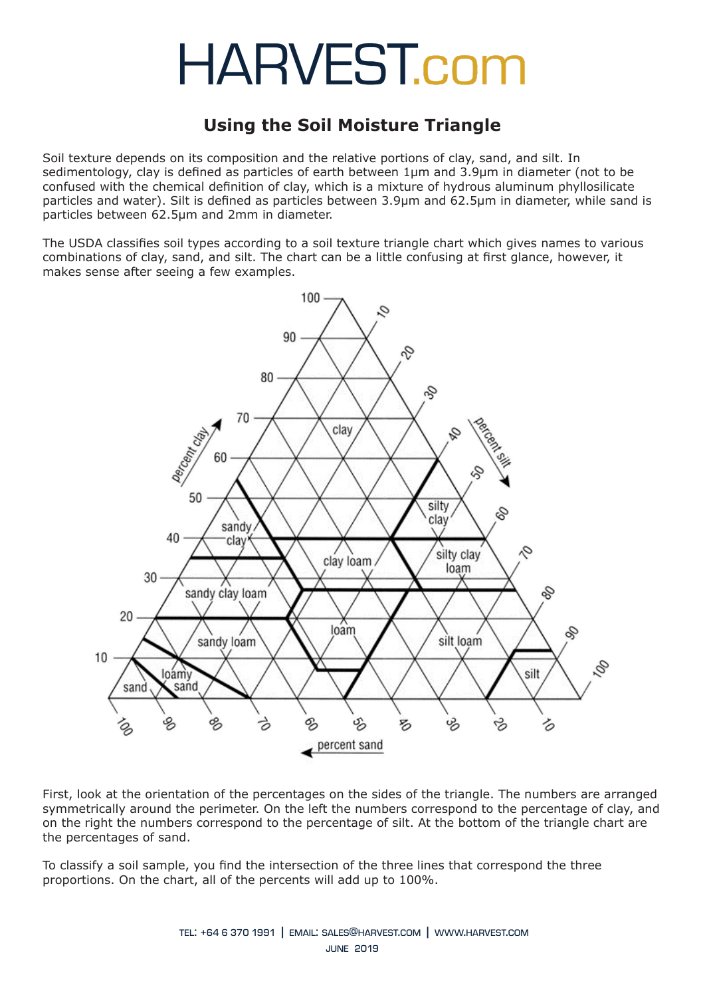### **Using the Soil Moisture Triangle**

Soil texture depends on its composition and the relative portions of clay, sand, and silt. In sedimentology, clay is defined as particles of earth between 1µm and 3.9µm in diameter (not to be confused with the chemical definition of clay, which is a mixture of hydrous aluminum phyllosilicate particles and water). Silt is defined as particles between 3.9µm and 62.5µm in diameter, while sand is particles between 62.5µm and 2mm in diameter.

The USDA classifies soil types according to a soil texture triangle chart which gives names to various combinations of clay, sand, and silt. The chart can be a little confusing at first glance, however, it makes sense after seeing a few examples.



First, look at the orientation of the percentages on the sides of the triangle. The numbers are arranged symmetrically around the perimeter. On the left the numbers correspond to the percentage of clay, and on the right the numbers correspond to the percentage of silt. At the bottom of the triangle chart are the percentages of sand.

To classify a soil sample, you find the intersection of the three lines that correspond the three proportions. On the chart, all of the percents will add up to 100%.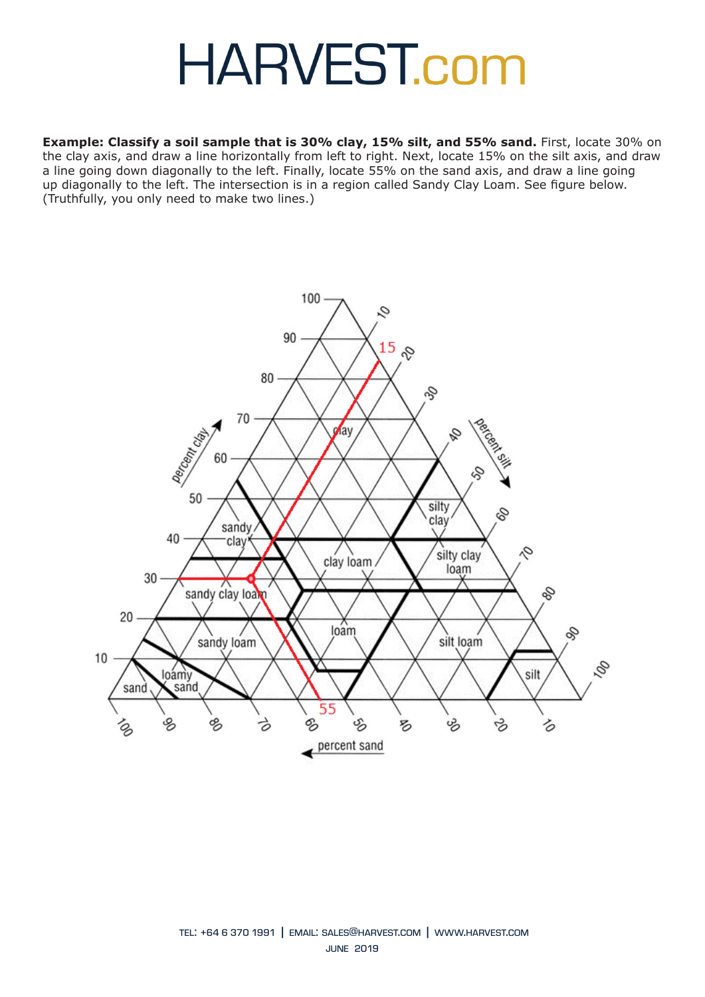**Example: Classify a soil sample that is 30% clay, 15% silt, and 55% sand.** First, locate 30% on the clay axis, and draw a line horizontally from left to right. Next, locate 15% on the silt axis, and draw a line going down diagonally to the left. Finally, locate 55% on the sand axis, and draw a line going up diagonally to the left. The intersection is in a region called Sandy Clay Loam. See figure below. (Truthfully, you only need to make two lines.)